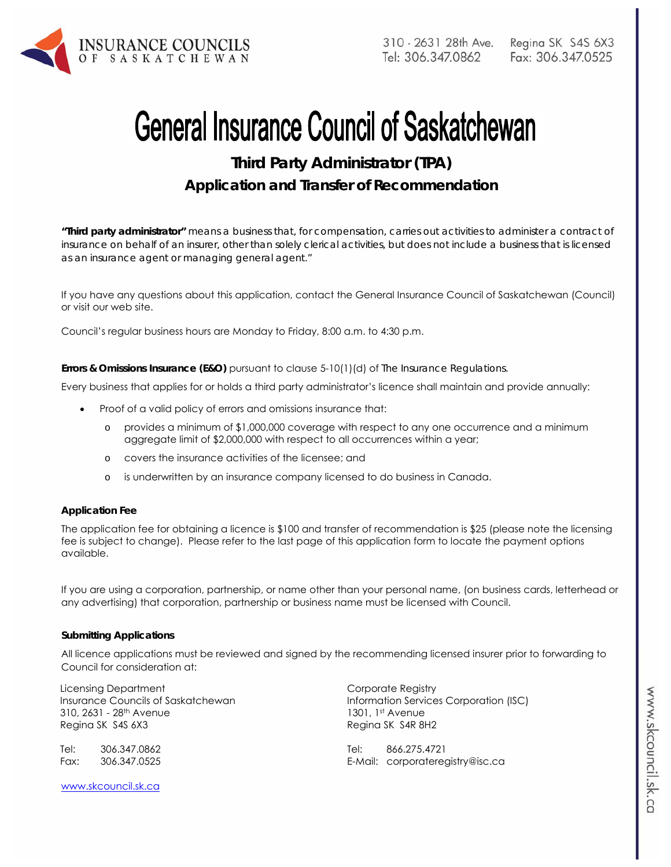

# **General Insurance Council of Saskatchewan**

**Third Party Administrator (TPA) Application and Transfer of Recommendation** 

*"Third party administrator" means a business that, for compensation, carries out activities to administer a contract of insurance on behalf of an insurer, other than solely clerical activities, but does not include a business that is licensed as an insurance agent or managing general agent."* 

If you have any questions about this application, contact the General Insurance Council of Saskatchewan (Council) or visit our web site.

Council's regular business hours are Monday to Friday, 8:00 a.m. to 4:30 p.m.

**Errors & Omissions Insurance (E&O)** pursuant to clause 5-10(1)(d) of *The Insurance Regulations.* 

Every business that applies for or holds a third party administrator's licence shall maintain and provide annually:

- Proof of a valid policy of errors and omissions insurance that:
	- o provides a minimum of \$1,000,000 coverage with respect to any one occurrence and a minimum aggregate limit of \$2,000,000 with respect to all occurrences within a year;
	- o covers the insurance activities of the licensee; and
	- o is underwritten by an insurance company licensed to do business in Canada.

#### **Application Fee**

The application fee for obtaining a licence is \$100 and transfer of recommendation is \$25 (please note the licensing fee is subject to change). Please refer to the last page of this application form to locate the payment options available.

If you are using a corporation, partnership, or name other than your personal name, (on business cards, letterhead or any advertising) that corporation, partnership or business name must be licensed with Council.

#### **Submitting Applications**

All licence applications must be reviewed and signed by the recommending licensed insurer prior to forwarding to Council for consideration at:

Licensing Department Insurance Councils of Saskatchewan 310, 2631 - 28th Avenue Regina SK S4S 6X3

Tel: 306.347.0862 Fax: 306.347.0525

www.skcouncil.sk.ca

Corporate Registry Information Services Corporation (ISC) 1301, 1st Avenue Regina SK S4R 8H2

Tel: 866.275.4721 E-Mail: corporateregistry@isc.ca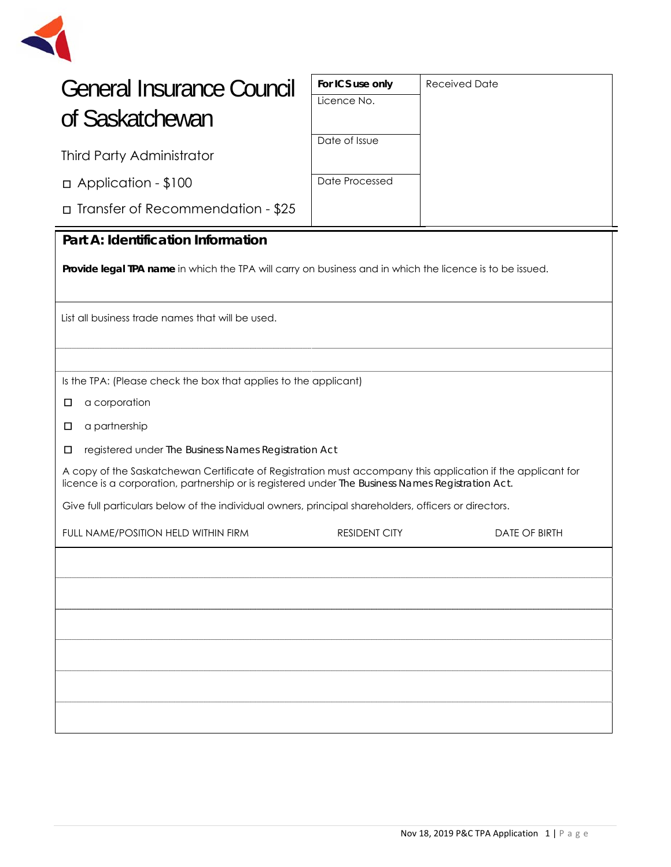

| <b>General Insurance Council</b> |  |
|----------------------------------|--|
| of Saskatchewan                  |  |

Third Party Administrator

□Application - \$100

□Transfer of Recommendation - \$25

| For ICS use only | <b>Received Date</b> |
|------------------|----------------------|
| Licence No.      |                      |
|                  |                      |
| Date of Issue    |                      |
|                  |                      |
| Date Processed   |                      |
|                  |                      |
|                  |                      |

### **Part A: Identification Information**

**Provide legal TPA name** in which the TPA will carry on business and in which the licence is to be issued.

List all business trade names that will be used.

Is the TPA: (Please check the box that applies to the applicant)

□ a corporation

- □ a partnership
- □ registered under *The Business Names Registration Act*

A copy of the Saskatchewan Certificate of Registration must accompany this application if the applicant for licence is a corporation, partnership or is registered under *The Business Names Registration Act.* 

Give full particulars below of the individual owners, principal shareholders, officers or directors.

| FULL NAME/POSITION HELD WITHIN FIRM | <b>RESIDENT CITY</b> | DATE OF BIRTH |
|-------------------------------------|----------------------|---------------|
|                                     |                      |               |
|                                     |                      |               |
|                                     |                      |               |
|                                     |                      |               |
|                                     |                      |               |
|                                     |                      |               |
|                                     |                      |               |
|                                     |                      |               |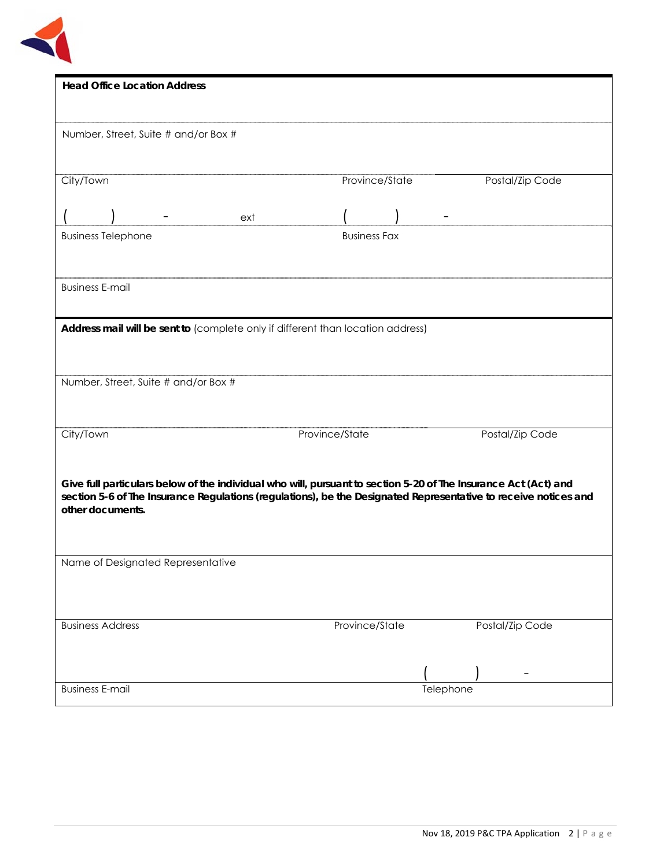

| <b>Head Office Location Address</b>                                                                                                 |                     |           |                 |
|-------------------------------------------------------------------------------------------------------------------------------------|---------------------|-----------|-----------------|
|                                                                                                                                     |                     |           |                 |
| Number, Street, Suite # and/or Box #                                                                                                |                     |           |                 |
|                                                                                                                                     |                     |           |                 |
|                                                                                                                                     |                     |           |                 |
| City/Town                                                                                                                           | Province/State      |           | Postal/Zip Code |
|                                                                                                                                     |                     |           |                 |
|                                                                                                                                     |                     |           |                 |
| ext                                                                                                                                 |                     |           |                 |
| <b>Business Telephone</b>                                                                                                           | <b>Business Fax</b> |           |                 |
|                                                                                                                                     |                     |           |                 |
|                                                                                                                                     |                     |           |                 |
| <b>Business E-mail</b>                                                                                                              |                     |           |                 |
|                                                                                                                                     |                     |           |                 |
| Address mail will be sent to (complete only if different than location address)                                                     |                     |           |                 |
|                                                                                                                                     |                     |           |                 |
|                                                                                                                                     |                     |           |                 |
|                                                                                                                                     |                     |           |                 |
| Number, Street, Suite # and/or Box #                                                                                                |                     |           |                 |
|                                                                                                                                     |                     |           |                 |
|                                                                                                                                     |                     |           |                 |
| City/Town                                                                                                                           | Province/State      |           | Postal/Zip Code |
|                                                                                                                                     |                     |           |                 |
|                                                                                                                                     |                     |           |                 |
| Give full particulars below of the individual who will, pursuant to section 5-20 of The Insurance Act (Act) and                     |                     |           |                 |
| section 5-6 of The Insurance Regulations (regulations), be the Designated Representative to receive notices and<br>other documents. |                     |           |                 |
|                                                                                                                                     |                     |           |                 |
|                                                                                                                                     |                     |           |                 |
|                                                                                                                                     |                     |           |                 |
| Name of Designated Representative                                                                                                   |                     |           |                 |
|                                                                                                                                     |                     |           |                 |
|                                                                                                                                     |                     |           |                 |
|                                                                                                                                     |                     |           |                 |
| <b>Business Address</b>                                                                                                             | Province/State      |           | Postal/Zip Code |
|                                                                                                                                     |                     |           |                 |
|                                                                                                                                     |                     |           |                 |
|                                                                                                                                     |                     |           |                 |
| <b>Business E-mail</b>                                                                                                              |                     | Telephone |                 |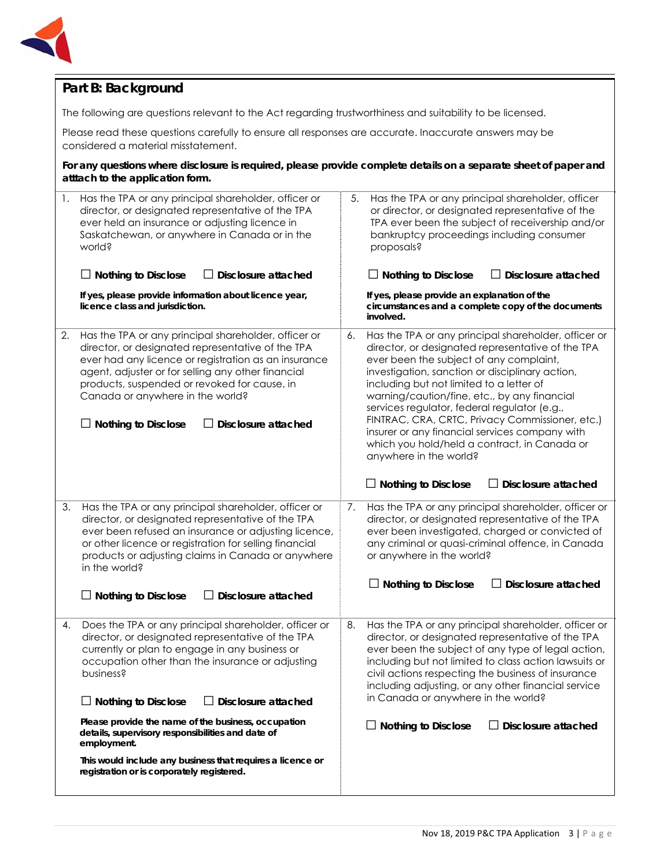

## **Part B: Background**

The following are questions relevant to the Act regarding trustworthiness and suitability to be licensed.

Please read these questions carefully to ensure all responses are accurate. Inaccurate answers may be considered a material misstatement.

**For any questions where disclosure is required, please provide complete details on a separate sheet of paper and atttach to the application form.** 

| 1. | Has the TPA or any principal shareholder, officer or<br>director, or designated representative of the TPA<br>ever held an insurance or adjusting licence in<br>Saskatchewan, or anywhere in Canada or in the<br>world?<br>Disclosure attached<br><b>Nothing to Disclose</b>                                                                                                                           | 5.<br>Has the TPA or any principal shareholder, officer<br>or director, or designated representative of the<br>TPA ever been the subject of receivership and/or<br>bankruptcy proceedings including consumer<br>proposals?<br>$\Box$ Nothing to Disclose<br>Disclosure attached                                                                                                                                                                                                                                                                                                                      |
|----|-------------------------------------------------------------------------------------------------------------------------------------------------------------------------------------------------------------------------------------------------------------------------------------------------------------------------------------------------------------------------------------------------------|------------------------------------------------------------------------------------------------------------------------------------------------------------------------------------------------------------------------------------------------------------------------------------------------------------------------------------------------------------------------------------------------------------------------------------------------------------------------------------------------------------------------------------------------------------------------------------------------------|
|    | If yes, please provide information about licence year,<br>licence class and jurisdiction.                                                                                                                                                                                                                                                                                                             | If yes, please provide an explanation of the<br>circumstances and a complete copy of the documents<br>involved.                                                                                                                                                                                                                                                                                                                                                                                                                                                                                      |
| 2. | Has the TPA or any principal shareholder, officer or<br>director, or designated representative of the TPA<br>ever had any licence or registration as an insurance<br>agent, adjuster or for selling any other financial<br>products, suspended or revoked for cause, in<br>Canada or anywhere in the world?<br>Disclosure attached<br>$\Box$ Nothing to Disclose                                      | Has the TPA or any principal shareholder, officer or<br>6.<br>director, or designated representative of the TPA<br>ever been the subject of any complaint,<br>investigation, sanction or disciplinary action,<br>including but not limited to a letter of<br>warning/caution/fine, etc., by any financial<br>services regulator, federal regulator (e.g.,<br>FINTRAC, CRA, CRTC, Privacy Commissioner, etc.)<br>insurer or any financial services company with<br>which you hold/held a contract, in Canada or<br>anywhere in the world?<br><b>Disclosure attached</b><br>$\Box$ Nothing to Disclose |
| 3. | Has the TPA or any principal shareholder, officer or                                                                                                                                                                                                                                                                                                                                                  | Has the TPA or any principal shareholder, officer or<br>7.                                                                                                                                                                                                                                                                                                                                                                                                                                                                                                                                           |
|    | director, or designated representative of the TPA<br>ever been refused an insurance or adjusting licence,<br>or other licence or registration for selling financial<br>products or adjusting claims in Canada or anywhere<br>in the world?                                                                                                                                                            | director, or designated representative of the TPA<br>ever been investigated, charged or convicted of<br>any criminal or quasi-criminal offence, in Canada<br>or anywhere in the world?                                                                                                                                                                                                                                                                                                                                                                                                               |
|    | $\Box$ Nothing to Disclose<br><b>Disclosure attached</b><br>ΙI                                                                                                                                                                                                                                                                                                                                        | <b>Nothing to Disclose</b><br>$\Box$ Disclosure attached                                                                                                                                                                                                                                                                                                                                                                                                                                                                                                                                             |
| 4. | Does the TPA or any principal shareholder, officer or<br>director, or designated representative of the TPA<br>currently or plan to engage in any business or<br>occupation other than the insurance or adjusting<br>business?<br>$\Box$ Nothing to Disclose<br>$\Box$ Disclosure attached<br>Please provide the name of the business, occupation<br>details, supervisory responsibilities and date of | 8.<br>Has the TPA or any principal shareholder, officer or<br>director, or designated representative of the TPA<br>ever been the subject of any type of legal action,<br>including but not limited to class action lawsuits or<br>civil actions respecting the business of insurance<br>including adjusting, or any other financial service<br>in Canada or anywhere in the world?<br>$\Box$ Nothing to Disclose<br>Disclosure attached                                                                                                                                                              |
|    | employment.<br>This would include any business that requires a licence or<br>registration or is corporately registered.                                                                                                                                                                                                                                                                               |                                                                                                                                                                                                                                                                                                                                                                                                                                                                                                                                                                                                      |
|    |                                                                                                                                                                                                                                                                                                                                                                                                       |                                                                                                                                                                                                                                                                                                                                                                                                                                                                                                                                                                                                      |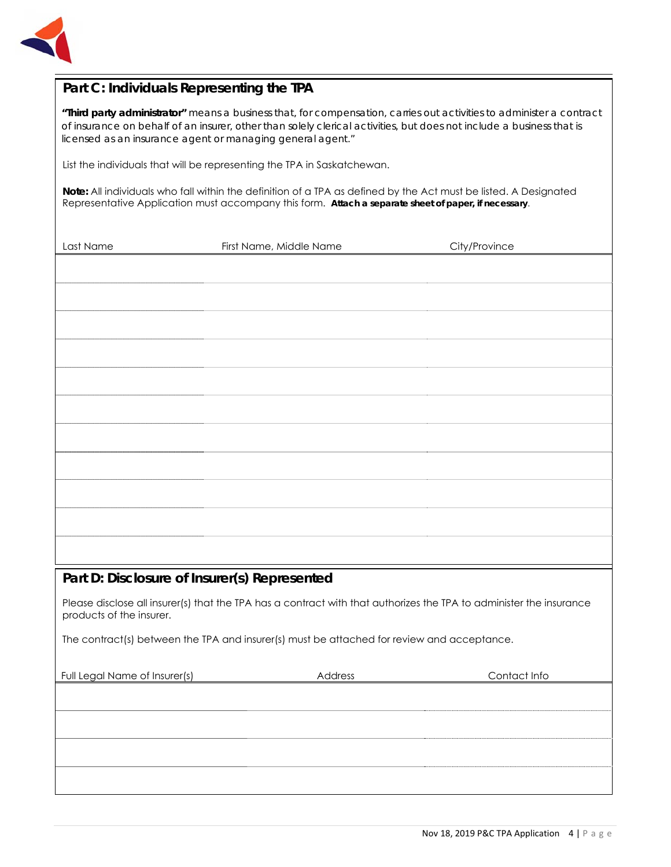

## **Part C: Individuals Representing the TPA**

*"Third party administrator" means a business that, for compensation, carries out activities to administer a contract of insurance on behalf of an insurer, other than solely clerical activities, but does not include a business that is licensed as an insurance agent or managing general agent."* 

List the individuals that will be representing the TPA in Saskatchewan.

**Note:** All individuals who fall within the definition of a TPA as defined by the Act must be listed. A Designated Representative Application must accompany this form. **Attach a separate sheet of paper, if necessary**.

| Last Name                                    | First Name, Middle Name                                                                                             | City/Province |
|----------------------------------------------|---------------------------------------------------------------------------------------------------------------------|---------------|
|                                              |                                                                                                                     |               |
|                                              |                                                                                                                     |               |
|                                              |                                                                                                                     |               |
|                                              |                                                                                                                     |               |
|                                              |                                                                                                                     |               |
|                                              |                                                                                                                     |               |
|                                              |                                                                                                                     |               |
|                                              |                                                                                                                     |               |
|                                              |                                                                                                                     |               |
|                                              |                                                                                                                     |               |
|                                              |                                                                                                                     |               |
|                                              |                                                                                                                     |               |
| Part D: Disclosure of Insurer(s) Represented |                                                                                                                     |               |
|                                              | Please disclose all insurer(s) that the TPA has a contract with that authorizes the TPA to administer the insurance |               |
| products of the insurer.                     |                                                                                                                     |               |
|                                              | The contract(s) between the TPA and insurer(s) must be attached for review and acceptance.                          |               |
|                                              |                                                                                                                     |               |
| Full Legal Name of Insurer(s)                | Address                                                                                                             | Contact Info  |
|                                              |                                                                                                                     |               |
|                                              |                                                                                                                     |               |
|                                              |                                                                                                                     |               |
|                                              |                                                                                                                     |               |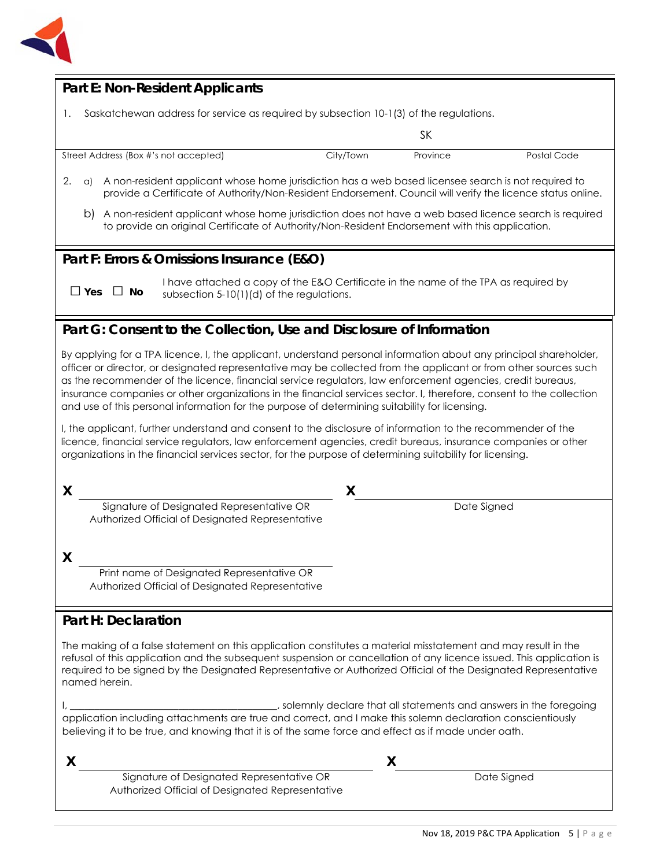

| <b>Part E: Non-Resident Applicants</b>                                                                                                                                                                                                                                                                                                                                                                                                                                                                                                                                        |
|-------------------------------------------------------------------------------------------------------------------------------------------------------------------------------------------------------------------------------------------------------------------------------------------------------------------------------------------------------------------------------------------------------------------------------------------------------------------------------------------------------------------------------------------------------------------------------|
|                                                                                                                                                                                                                                                                                                                                                                                                                                                                                                                                                                               |
| Saskatchewan address for service as required by subsection 10-1(3) of the regulations.<br>1.                                                                                                                                                                                                                                                                                                                                                                                                                                                                                  |
| <b>SK</b>                                                                                                                                                                                                                                                                                                                                                                                                                                                                                                                                                                     |
| Street Address (Box #'s not accepted)<br>City/Town<br>Province<br>Postal Code                                                                                                                                                                                                                                                                                                                                                                                                                                                                                                 |
| 2.<br>A non-resident applicant whose home jurisdiction has a web based licensee search is not required to<br>a)<br>provide a Certificate of Authority/Non-Resident Endorsement. Council will verify the licence status online.                                                                                                                                                                                                                                                                                                                                                |
| b) A non-resident applicant whose home jurisdiction does not have a web based licence search is required<br>to provide an original Certificate of Authority/Non-Resident Endorsement with this application.                                                                                                                                                                                                                                                                                                                                                                   |
| Part F: Errors & Omissions Insurance (E&O)                                                                                                                                                                                                                                                                                                                                                                                                                                                                                                                                    |
| I have attached a copy of the E&O Certificate in the name of the TPA as required by<br>$\Box$ Yes<br>$\square$ No<br>subsection 5-10(1)(d) of the regulations.                                                                                                                                                                                                                                                                                                                                                                                                                |
| Part G: Consent to the Collection, Use and Disclosure of Information                                                                                                                                                                                                                                                                                                                                                                                                                                                                                                          |
| By applying for a TPA licence, I, the applicant, understand personal information about any principal shareholder,<br>officer or director, or designated representative may be collected from the applicant or from other sources such<br>as the recommender of the licence, financial service regulators, law enforcement agencies, credit bureaus,<br>insurance companies or other organizations in the financial services sector. I, therefore, consent to the collection<br>and use of this personal information for the purpose of determining suitability for licensing. |
| I, the applicant, further understand and consent to the disclosure of information to the recommender of the<br>licence, financial service regulators, law enforcement agencies, credit bureaus, insurance companies or other<br>organizations in the financial services sector, for the purpose of determining suitability for licensing.                                                                                                                                                                                                                                     |
| X<br>X                                                                                                                                                                                                                                                                                                                                                                                                                                                                                                                                                                        |
| Signature of Designated Representative OR<br>Date Signed<br>Authorized Official of Designated Representative                                                                                                                                                                                                                                                                                                                                                                                                                                                                  |
| X                                                                                                                                                                                                                                                                                                                                                                                                                                                                                                                                                                             |
| Print name of Designated Representative OR<br>Authorized Official of Designated Representative                                                                                                                                                                                                                                                                                                                                                                                                                                                                                |
| <b>Part H: Declaration</b>                                                                                                                                                                                                                                                                                                                                                                                                                                                                                                                                                    |
| The making of a false statement on this application constitutes a material misstatement and may result in the<br>refusal of this application and the subsequent suspension or cancellation of any licence issued. This application is<br>required to be signed by the Designated Representative or Authorized Official of the Designated Representative<br>named herein.                                                                                                                                                                                                      |
| solemnly declare that all statements and answers in the foregoing (3) and answers in the foregoing<br>application including attachments are true and correct, and I make this solemn declaration conscientiously<br>believing it to be true, and knowing that it is of the same force and effect as if made under oath.                                                                                                                                                                                                                                                       |
| X<br>X                                                                                                                                                                                                                                                                                                                                                                                                                                                                                                                                                                        |
| Signature of Designated Representative OR<br>Date Signed<br>Authorized Official of Designated Representative                                                                                                                                                                                                                                                                                                                                                                                                                                                                  |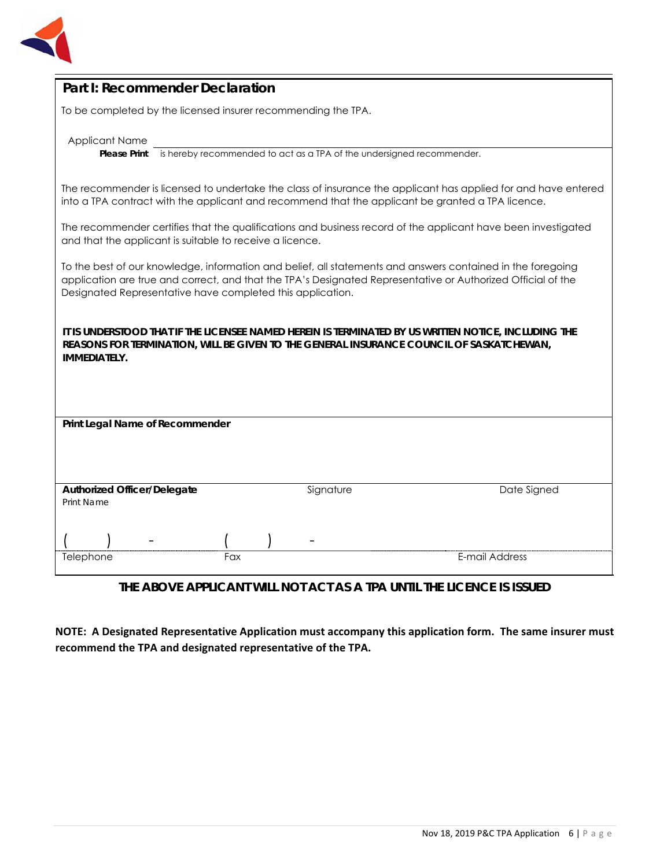

| Part I: Recommender Declaration |  |
|---------------------------------|--|
|---------------------------------|--|

To be completed by the licensed insurer recommending the TPA.

Applicant Name

**Please Print** is hereby recommended to act as a TPA of the undersigned recommender.

The recommender is licensed to undertake the class of insurance the applicant has applied for and have entered into a TPA contract with the applicant and recommend that the applicant be granted a TPA licence.

The recommender certifies that the qualifications and business record of the applicant have been investigated and that the applicant is suitable to receive a licence.

To the best of our knowledge, information and belief, all statements and answers contained in the foregoing application are true and correct, and that the TPA's Designated Representative or Authorized Official of the Designated Representative have completed this application.

**IT IS UNDERSTOOD THAT IF THE LICENSEE NAMED HEREIN IS TERMINATED BY US WRITTEN NOTICE, INCLUDING THE REASONS FOR TERMINATION, WILL BE GIVEN TO THE GENERAL INSURANCE COUNCIL OF SASKATCHEWAN, IMMEDIATELY.**

| Print Legal Name of Recommender    |  |     |  |           |                |
|------------------------------------|--|-----|--|-----------|----------------|
|                                    |  |     |  |           |                |
|                                    |  |     |  |           |                |
|                                    |  |     |  |           |                |
| <b>Authorized Officer/Delegate</b> |  |     |  |           |                |
| <b>Print Name</b>                  |  |     |  | Signature | Date Signed    |
|                                    |  |     |  |           |                |
|                                    |  |     |  |           |                |
|                                    |  |     |  | -         |                |
| Telephone                          |  | Fax |  |           | E-mail Address |
|                                    |  |     |  |           |                |

#### **THE ABOVE APPLICANT WILL NOT ACT AS A TPA UNTIL THE LICENCE IS ISSUED**

**NOTE: A Designated Representative Application must accompany this application form. The same insurer must recommend the TPA and designated representative of the TPA.**